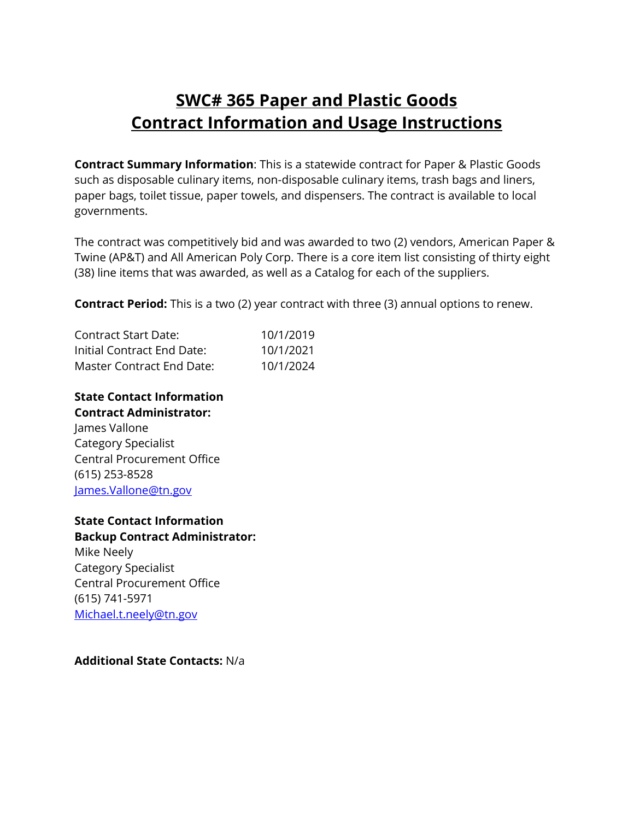# **SWC# 365 Paper and Plastic Goods Contract Information and Usage Instructions**

**Contract Summary Information**: This is a statewide contract for Paper & Plastic Goods such as disposable culinary items, non-disposable culinary items, trash bags and liners, paper bags, toilet tissue, paper towels, and dispensers. The contract is available to local governments.

The contract was competitively bid and was awarded to two (2) vendors, American Paper & Twine (AP&T) and All American Poly Corp. There is a core item list consisting of thirty eight (38) line items that was awarded, as well as a Catalog for each of the suppliers.

**Contract Period:** This is a two (2) year contract with three (3) annual options to renew.

| Contract Start Date:       | 10/1/2019 |
|----------------------------|-----------|
| Initial Contract End Date: | 10/1/2021 |
| Master Contract End Date:  | 10/1/2024 |

**State Contact Information Contract Administrator:** James Vallone Category Specialist Central Procurement Office (615) 253-8528 [James.Vallone@tn.gov](mailto:James.Vallone@tn.gov)

**State Contact Information Backup Contract Administrator:** Mike Neely

Category Specialist Central Procurement Office (615) 741-5971 [Michael.t.neely@tn.gov](mailto:Michael.t.neely@tn.gov)

**Additional State Contacts:** N/a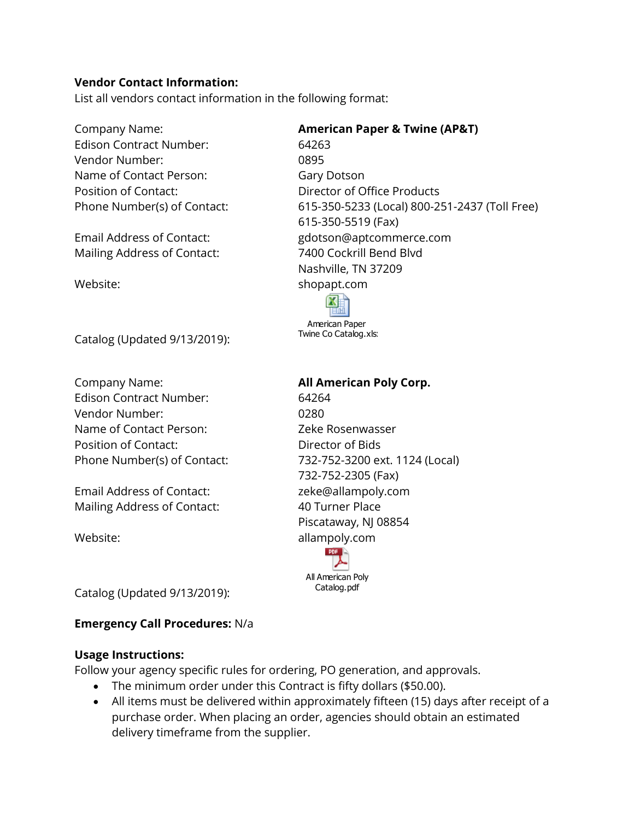# **Vendor Contact Information:**

List all vendors contact information in the following format:

Company Name: **American Paper & Twine (AP&T)**  Edison Contract Number: 64263 Vendor Number: 0895 Name of Contact Person: Gary Dotson Position of Contact: Director of Office Products

Mailing Address of Contact: 7400 Cockrill Bend Blvd

Catalog (Updated 9/13/2019):

Company Name: **All American Poly Corp.** Edison Contract Number: 64264 Vendor Number: 0280 Name of Contact Person: Zeke Rosenwasser Position of Contact: Director of Bids

Email Address of Contact: zeke@allampoly.com Mailing Address of Contact: 40 Turner Place

Phone Number(s) of Contact: 615-350-5233 (Local) 800-251-2437 (Toll Free) 615-350-5519 (Fax) Email Address of Contact: gdotson@aptcommerce.com Nashville, TN 37209 Website: when the shopapt.com



Twine Co Catalog.xls:

Phone Number(s) of Contact: 732-752-3200 ext. 1124 (Local) 732-752-2305 (Fax) Piscataway, NJ 08854 Website: allampoly.com



Catalog (Updated 9/13/2019):

# **Emergency Call Procedures:** N/a

# **Usage Instructions:**

Follow your agency specific rules for ordering, PO generation, and approvals.

- The minimum order under this Contract is fifty dollars (\$50.00).
- All items must be delivered within approximately fifteen (15) days after receipt of a purchase order. When placing an order, agencies should obtain an estimated delivery timeframe from the supplier.